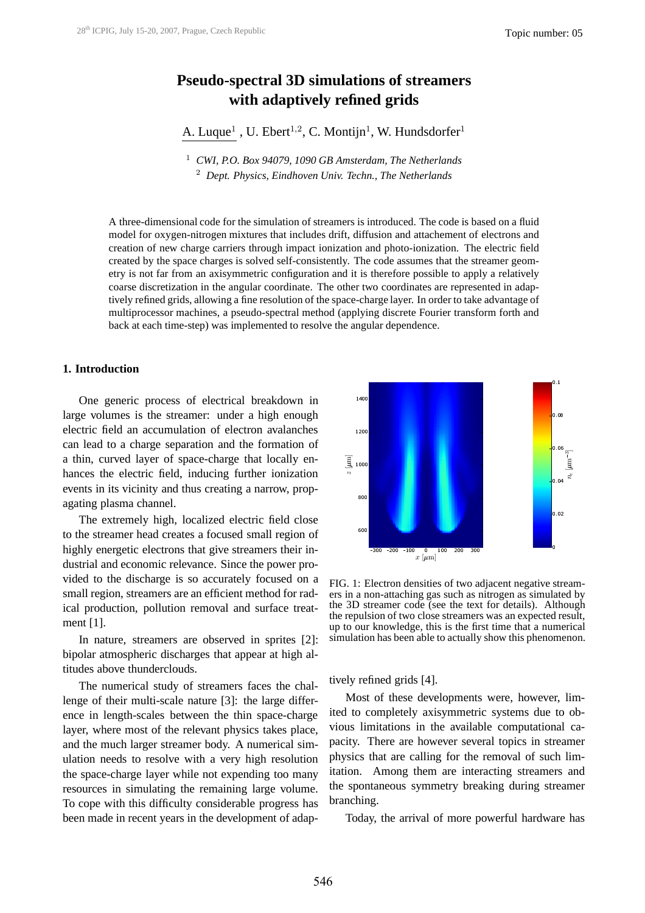# **Pseudo-spectral 3D simulations of streamers with adaptively refined grids**

A. Luque<sup>1</sup>, U. Ebert<sup>1,2</sup>, C. Montijn<sup>1</sup>, W. Hundsdorfer<sup>1</sup>

<sup>1</sup> *CWI, P.O. Box 94079, 1090 GB Amsterdam, The Netherlands* <sup>2</sup> *Dept. Physics, Eindhoven Univ. Techn., The Netherlands*

A three-dimensional code for the simulation of streamers is introduced. The code is based on a fluid model for oxygen-nitrogen mixtures that includes drift, diffusion and attachement of electrons and creation of new charge carriers through impact ionization and photo-ionization. The electric field created by the space charges is solved self-consistently. The code assumes that the streamer geometry is not far from an axisymmetric configuration and it is therefore possible to apply a relatively coarse discretization in the angular coordinate. The other two coordinates are represented in adaptively refined grids, allowing a fine resolution of the space-charge layer. In order to take advantage of multiprocessor machines, a pseudo-spectral method (applying discrete Fourier transform forth and back at each time-step) was implemented to resolve the angular dependence.

### **1. Introduction**

One generic process of electrical breakdown in large volumes is the streamer: under a high enough electric field an accumulation of electron avalanches can lead to a charge separation and the formation of a thin, curved layer of space-charge that locally enhances the electric field, inducing further ionization events in its vicinity and thus creating a narrow, propagating plasma channel.

The extremely high, localized electric field close to the streamer head creates a focused small region of highly energetic electrons that give streamers their industrial and economic relevance. Since the power provided to the discharge is so accurately focused on a small region, streamers are an efficient method for radical production, pollution removal and surface treatment [1].

In nature, streamers are observed in sprites [2]: bipolar atmospheric discharges that appear at high altitudes above thunderclouds.

The numerical study of streamers faces the challenge of their multi-scale nature [3]: the large difference in length-scales between the thin space-charge layer, where most of the relevant physics takes place, and the much larger streamer body. A numerical simulation needs to resolve with a very high resolution the space-charge layer while not expending too many resources in simulating the remaining large volume. To cope with this difficulty considerable progress has been made in recent years in the development of adap-



FIG. 1: Electron densities of two adjacent negative streamers in a non-attaching gas such as nitrogen as simulated by the 3D streamer code (see the text for details). Although the repulsion of two close streamers was an expected result, up to our knowledge, this is the first time that a numerical simulation has been able to actually show this phenomenon.

tively refined grids [4].

Most of these developments were, however, limited to completely axisymmetric systems due to obvious limitations in the available computational capacity. There are however several topics in streamer physics that are calling for the removal of such limitation. Among them are interacting streamers and the spontaneous symmetry breaking during streamer branching.

Today, the arrival of more powerful hardware has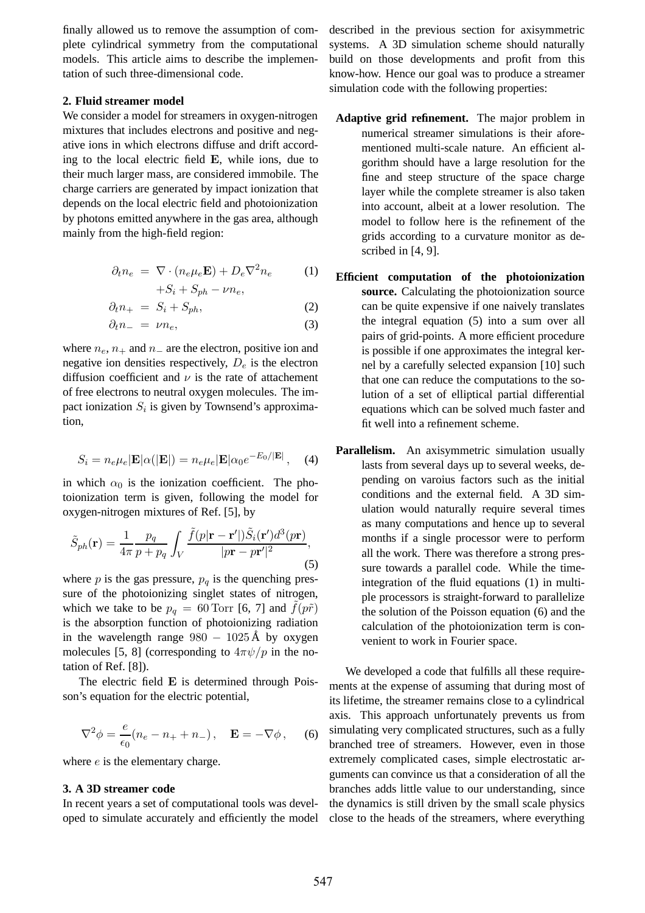finally allowed us to remove the assumption of complete cylindrical symmetry from the computational models. This article aims to describe the implementation of such three-dimensional code.

#### **2. Fluid streamer model**

We consider a model for streamers in oxygen-nitrogen mixtures that includes electrons and positive and negative ions in which electrons diffuse and drift according to the local electric field E, while ions, due to their much larger mass, are considered immobile. The charge carriers are generated by impact ionization that depends on the local electric field and photoionization by photons emitted anywhere in the gas area, although mainly from the high-field region:

$$
\partial_t n_e = \nabla \cdot (n_e \mu_e \mathbf{E}) + D_e \nabla^2 n_e \tag{1}
$$

$$
+ S_i + S_{ph} - \nu n_e,
$$

$$
\partial_t n_+ = S_i + S_{ph}, \tag{2}
$$

$$
\partial_t n_- = \nu n_e,\tag{3}
$$

where  $n_e$ ,  $n_+$  and  $n_-\$  are the electron, positive ion and negative ion densities respectively,  $D_e$  is the electron diffusion coefficient and  $\nu$  is the rate of attachement of free electrons to neutral oxygen molecules. The impact ionization  $S_i$  is given by Townsend's approximation,

$$
S_i = n_e \mu_e |\mathbf{E}|\alpha(|\mathbf{E}|) = n_e \mu_e |\mathbf{E}|\alpha_0 e^{-E_0/|\mathbf{E}|}, \quad (4)
$$

in which  $\alpha_0$  is the ionization coefficient. The photoionization term is given, following the model for oxygen-nitrogen mixtures of Ref. [5], by

$$
\tilde{S}_{ph}(\mathbf{r}) = \frac{1}{4\pi} \frac{p_q}{p + p_q} \int_V \frac{\tilde{f}(p|\mathbf{r} - \mathbf{r}'|) \tilde{S}_i(\mathbf{r}') d^3(p\mathbf{r})}{|p\mathbf{r} - p\mathbf{r}'|^2},\tag{5}
$$

where  $p$  is the gas pressure,  $p_q$  is the quenching pressure of the photoionizing singlet states of nitrogen, which we take to be  $p_q = 60$  Torr [6, 7] and  $f(p\tilde{r})$ is the absorption function of photoionizing radiation in the wavelength range  $980 - 1025 \text{\AA}$  by oxygen molecules [5, 8] (corresponding to  $4\pi \psi/p$  in the notation of Ref. [8]).

The electric field E is determined through Poisson's equation for the electric potential,

$$
\nabla^2 \phi = \frac{e}{\epsilon_0} (n_e - n_+ + n_-), \quad \mathbf{E} = -\nabla \phi \,, \tag{6}
$$

where  $e$  is the elementary charge.

# **3. A 3D streamer code**

In recent years a set of computational tools was developed to simulate accurately and efficiently the model

described in the previous section for axisymmetric systems. A 3D simulation scheme should naturally build on those developments and profit from this know-how. Hence our goal was to produce a streamer simulation code with the following properties:

- **Adaptive grid refinement.** The major problem in numerical streamer simulations is their aforementioned multi-scale nature. An efficient algorithm should have a large resolution for the fine and steep structure of the space charge layer while the complete streamer is also taken into account, albeit at a lower resolution. The model to follow here is the refinement of the grids according to a curvature monitor as described in [4, 9].
- **Efficient computation of the photoionization source.** Calculating the photoionization source can be quite expensive if one naively translates the integral equation (5) into a sum over all pairs of grid-points. A more efficient procedure is possible if one approximates the integral kernel by a carefully selected expansion [10] such that one can reduce the computations to the solution of a set of elliptical partial differential equations which can be solved much faster and fit well into a refinement scheme.
- **Parallelism.** An axisymmetric simulation usually lasts from several days up to several weeks, depending on varoius factors such as the initial conditions and the external field. A 3D simulation would naturally require several times as many computations and hence up to several months if a single processor were to perform all the work. There was therefore a strong pressure towards a parallel code. While the timeintegration of the fluid equations (1) in multiple processors is straight-forward to parallelize the solution of the Poisson equation (6) and the calculation of the photoionization term is convenient to work in Fourier space.

We developed a code that fulfills all these requirements at the expense of assuming that during most of its lifetime, the streamer remains close to a cylindrical axis. This approach unfortunately prevents us from simulating very complicated structures, such as a fully branched tree of streamers. However, even in those extremely complicated cases, simple electrostatic arguments can convince us that a consideration of all the branches adds little value to our understanding, since the dynamics is still driven by the small scale physics close to the heads of the streamers, where everything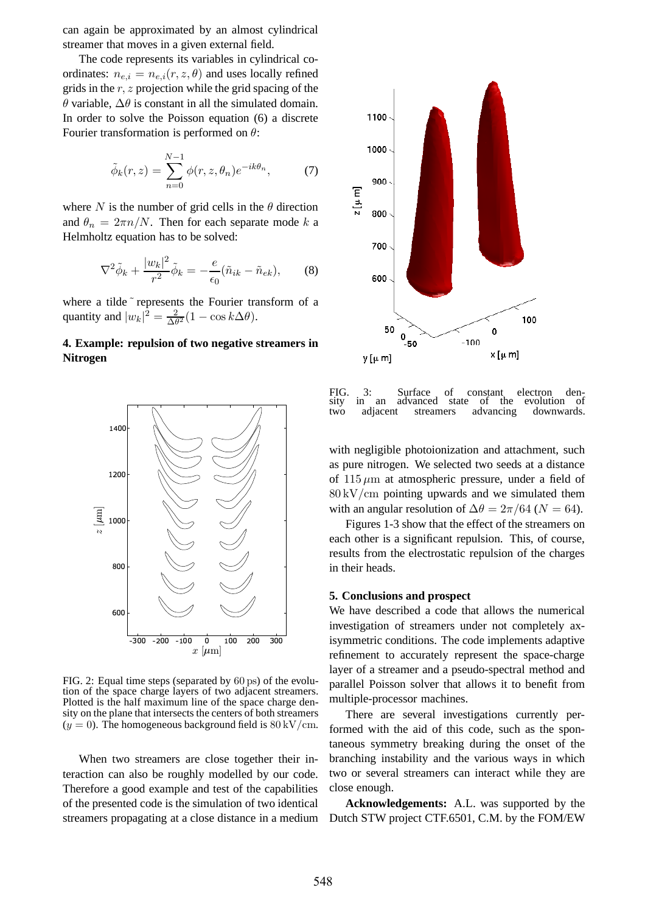can again be approximated by an almost cylindrical streamer that moves in a given external field.

The code represents its variables in cylindrical coordinates:  $n_{e,i} = n_{e,i}(r, z, \theta)$  and uses locally refined grids in the  $r, z$  projection while the grid spacing of the θ variable, ∆θ is constant in all the simulated domain. In order to solve the Poisson equation (6) a discrete Fourier transformation is performed on  $\theta$ :

$$
\tilde{\phi}_k(r,z) = \sum_{n=0}^{N-1} \phi(r,z,\theta_n) e^{-ik\theta_n},\tag{7}
$$

where N is the number of grid cells in the  $\theta$  direction and  $\theta_n = 2\pi n/N$ . Then for each separate mode k a Helmholtz equation has to be solved:

$$
\nabla^2 \tilde{\phi}_k + \frac{|w_k|^2}{r^2} \tilde{\phi}_k = -\frac{e}{\epsilon_0} (\tilde{n}_{ik} - \tilde{n}_{ek}), \qquad (8)
$$

where a tilde ~ represents the Fourier transform of a quantity and  $|w_k|^2 = \frac{2}{\Delta \theta}$  $\frac{2}{\Delta\theta^2}(1-\cos k\Delta\theta).$ 

# **4. Example: repulsion of two negative streamers in Nitrogen**



FIG. 2: Equal time steps (separated by 60 ps) of the evolution of the space charge layers of two adjacent streamers. Plotted is the half maximum line of the space charge density on the plane that intersects the centers of both streamers  $(y = 0)$ . The homogeneous background field is 80 kV/cm.

When two streamers are close together their interaction can also be roughly modelled by our code. Therefore a good example and test of the capabilities of the presented code is the simulation of two identical streamers propagating at a close distance in a medium



FIG. 3: Surface of constant electron den-<br>sity in an advanced state of the evolution of advanced two adjacent streamers advancing downwards.

with negligible photoionization and attachment, such as pure nitrogen. We selected two seeds at a distance of  $115 \mu m$  at atmospheric pressure, under a field of  $80 \mathrm{kV/cm}$  pointing upwards and we simulated them with an angular resolution of  $\Delta\theta = 2\pi/64$  ( $N = 64$ ).

Figures 1-3 show that the effect of the streamers on each other is a significant repulsion. This, of course, results from the electrostatic repulsion of the charges in their heads.

#### **5. Conclusions and prospect**

We have described a code that allows the numerical investigation of streamers under not completely axisymmetric conditions. The code implements adaptive refinement to accurately represent the space-charge layer of a streamer and a pseudo-spectral method and parallel Poisson solver that allows it to benefit from multiple-processor machines.

There are several investigations currently performed with the aid of this code, such as the spontaneous symmetry breaking during the onset of the branching instability and the various ways in which two or several streamers can interact while they are close enough.

**Acknowledgements:** A.L. was supported by the Dutch STW project CTF.6501, C.M. by the FOM/EW